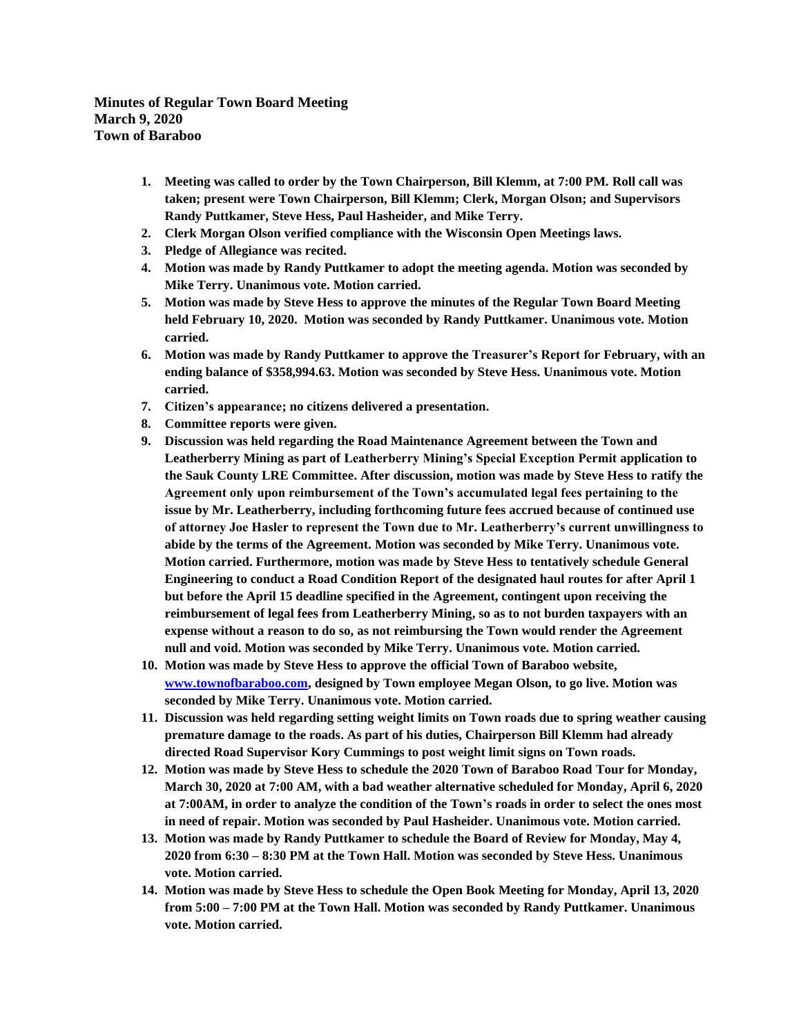**Minutes of Regular Town Board Meeting March 9, 2020 Town of Baraboo**

- **1. Meeting was called to order by the Town Chairperson, Bill Klemm, at 7:00 PM. Roll call was taken; present were Town Chairperson, Bill Klemm; Clerk, Morgan Olson; and Supervisors Randy Puttkamer, Steve Hess, Paul Hasheider, and Mike Terry.**
- **2. Clerk Morgan Olson verified compliance with the Wisconsin Open Meetings laws.**
- **3. Pledge of Allegiance was recited.**
- **4. Motion was made by Randy Puttkamer to adopt the meeting agenda. Motion was seconded by Mike Terry. Unanimous vote. Motion carried.**
- **5. Motion was made by Steve Hess to approve the minutes of the Regular Town Board Meeting held February 10, 2020. Motion was seconded by Randy Puttkamer. Unanimous vote. Motion carried.**
- **6. Motion was made by Randy Puttkamer to approve the Treasurer's Report for February, with an ending balance of \$358,994.63. Motion was seconded by Steve Hess. Unanimous vote. Motion carried.**
- **7. Citizen's appearance; no citizens delivered a presentation.**
- **8. Committee reports were given.**
- **9. Discussion was held regarding the Road Maintenance Agreement between the Town and Leatherberry Mining as part of Leatherberry Mining's Special Exception Permit application to the Sauk County LRE Committee. After discussion, motion was made by Steve Hess to ratify the Agreement only upon reimbursement of the Town's accumulated legal fees pertaining to the issue by Mr. Leatherberry, including forthcoming future fees accrued because of continued use of attorney Joe Hasler to represent the Town due to Mr. Leatherberry's current unwillingness to abide by the terms of the Agreement. Motion was seconded by Mike Terry. Unanimous vote. Motion carried. Furthermore, motion was made by Steve Hess to tentatively schedule General Engineering to conduct a Road Condition Report of the designated haul routes for after April 1 but before the April 15 deadline specified in the Agreement, contingent upon receiving the reimbursement of legal fees from Leatherberry Mining, so as to not burden taxpayers with an expense without a reason to do so, as not reimbursing the Town would render the Agreement null and void. Motion was seconded by Mike Terry. Unanimous vote. Motion carried.**
- **10. Motion was made by Steve Hess to approve the official Town of Baraboo website, www.townofbaraboo.com, designed by Town employee Megan Olson, to go live. Motion was seconded by Mike Terry. Unanimous vote. Motion carried.**
- **11. Discussion was held regarding setting weight limits on Town roads due to spring weather causing premature damage to the roads. As part of his duties, Chairperson Bill Klemm had already directed Road Supervisor Kory Cummings to post weight limit signs on Town roads.**
- **12. Motion was made by Steve Hess to schedule the 2020 Town of Baraboo Road Tour for Monday, March 30, 2020 at 7:00 AM, with a bad weather alternative scheduled for Monday, April 6, 2020 at 7:00AM, in order to analyze the condition of the Town's roads in order to select the ones most in need of repair. Motion was seconded by Paul Hasheider. Unanimous vote. Motion carried.**
- **13. Motion was made by Randy Puttkamer to schedule the Board of Review for Monday, May 4, 2020 from 6:30 – 8:30 PM at the Town Hall. Motion was seconded by Steve Hess. Unanimous vote. Motion carried.**
- **14. Motion was made by Steve Hess to schedule the Open Book Meeting for Monday, April 13, 2020 from 5:00 – 7:00 PM at the Town Hall. Motion was seconded by Randy Puttkamer. Unanimous vote. Motion carried.**